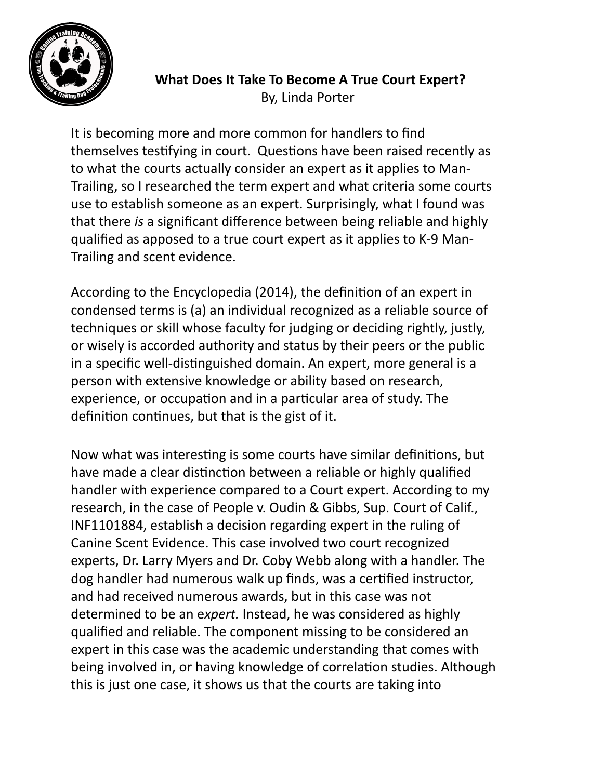

## **What Does It Take To Become A True Court Expert?** By, Linda Porter

It is becoming more and more common for handlers to find themselves testifying in court. Questions have been raised recently as to what the courts actually consider an expert as it applies to Man-Trailing, so I researched the term expert and what criteria some courts use to establish someone as an expert. Surprisingly, what I found was that there *is* a significant difference between being reliable and highly qualified as apposed to a true court expert as it applies to K-9 Man-Trailing and scent evidence.

According to the Encyclopedia (2014), the definition of an expert in condensed terms is (a) an individual recognized as a reliable source of techniques or skill whose faculty for judging or deciding rightly, justly, or wisely is accorded authority and status by their peers or the public in a specific well-distinguished domain. An expert, more general is a person with extensive knowledge or ability based on research, experience, or occupation and in a particular area of study. The definition continues, but that is the gist of it.

Now what was interesting is some courts have similar definitions, but have made a clear distinction between a reliable or highly qualified handler with experience compared to a Court expert. According to my research, in the case of People v. Oudin & Gibbs, Sup. Court of Calif., INF1101884, establish a decision regarding expert in the ruling of Canine Scent Evidence. This case involved two court recognized experts, Dr. Larry Myers and Dr. Coby Webb along with a handler. The dog handler had numerous walk up finds, was a certified instructor, and had received numerous awards, but in this case was not determined to be an expert. Instead, he was considered as highly qualified and reliable. The component missing to be considered an expert in this case was the academic understanding that comes with being involved in, or having knowledge of correlation studies. Although this is just one case, it shows us that the courts are taking into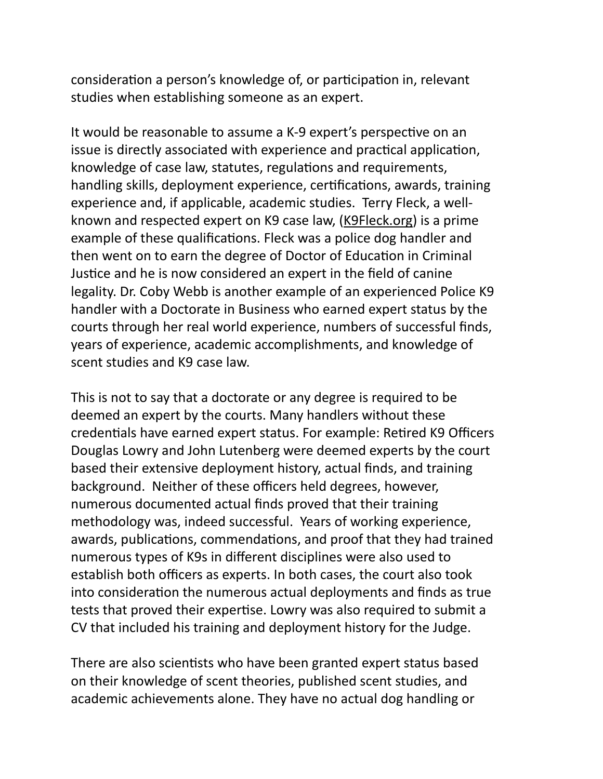consideration a person's knowledge of, or participation in, relevant studies when establishing someone as an expert.

It would be reasonable to assume a K-9 expert's perspective on an issue is directly associated with experience and practical application, knowledge of case law, statutes, regulations and requirements, handling skills, deployment experience, certifications, awards, training experience and, if applicable, academic studies. Terry Fleck, a wellknown and respected expert on K9 case law, (K9Fleck.org) is a prime example of these qualifications. Fleck was a police dog handler and then went on to earn the degree of Doctor of Education in Criminal Justice and he is now considered an expert in the field of canine legality. Dr. Coby Webb is another example of an experienced Police K9 handler with a Doctorate in Business who earned expert status by the courts through her real world experience, numbers of successful finds, years of experience, academic accomplishments, and knowledge of scent studies and K9 case law.

This is not to say that a doctorate or any degree is required to be deemed an expert by the courts. Many handlers without these credentials have earned expert status. For example: Retired K9 Officers Douglas Lowry and John Lutenberg were deemed experts by the court based their extensive deployment history, actual finds, and training background. Neither of these officers held degrees, however, numerous documented actual finds proved that their training methodology was, indeed successful. Years of working experience, awards, publications, commendations, and proof that they had trained numerous types of K9s in different disciplines were also used to establish both officers as experts. In both cases, the court also took into consideration the numerous actual deployments and finds as true tests that proved their expertise. Lowry was also required to submit a CV that included his training and deployment history for the Judge.

There are also scientists who have been granted expert status based on their knowledge of scent theories, published scent studies, and academic achievements alone. They have no actual dog handling or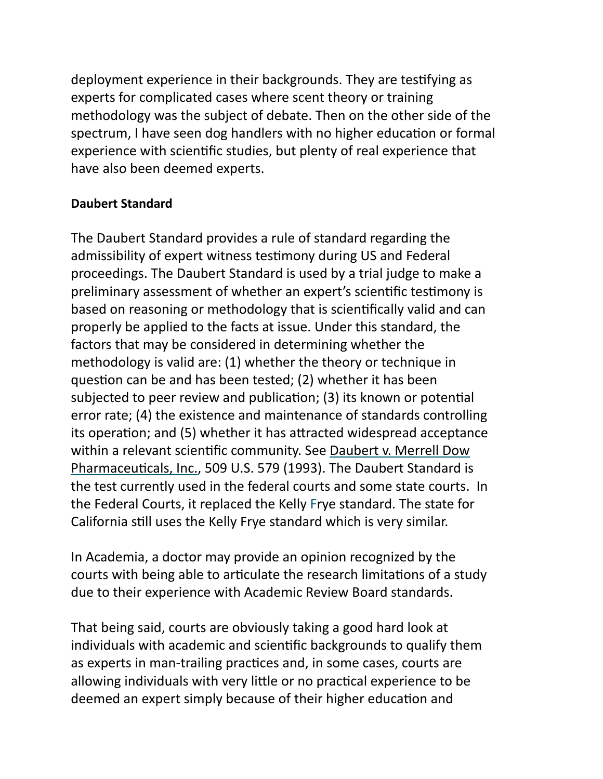deployment experience in their backgrounds. They are testifying as experts for complicated cases where scent theory or training methodology was the subject of debate. Then on the other side of the spectrum, I have seen dog handlers with no higher education or formal experience with scientific studies, but plenty of real experience that have also been deemed experts.

## **Daubert Standard**

The Daubert Standard provides a rule of standard regarding the admissibility of expert witness testimony during US and Federal proceedings. The Daubert Standard is used by a trial judge to make a preliminary assessment of whether an expert's scientific testimony is based on reasoning or methodology that is scientifically valid and can properly be applied to the facts at issue. Under this standard, the factors that may be considered in determining whether the methodology is valid are:  $(1)$  whether the theory or technique in question can be and has been tested; (2) whether it has been subjected to peer review and publication; (3) its known or potential error rate; (4) the existence and maintenance of standards controlling its operation; and (5) whether it has attracted widespread acceptance within a relevant scientific community. See Daubert v. Merrell Dow Pharmaceuticals, Inc., 509 U.S. 579 (1993). The Daubert Standard is the test currently used in the federal courts and some state courts. In the Federal Courts, it replaced the Kelly Frye standard. The state for California still uses the Kelly Frye standard which is very similar.

In Academia, a doctor may provide an opinion recognized by the courts with being able to articulate the research limitations of a study due to their experience with Academic Review Board standards.

That being said, courts are obviously taking a good hard look at individuals with academic and scientific backgrounds to qualify them as experts in man-trailing practices and, in some cases, courts are allowing individuals with very little or no practical experience to be deemed an expert simply because of their higher education and